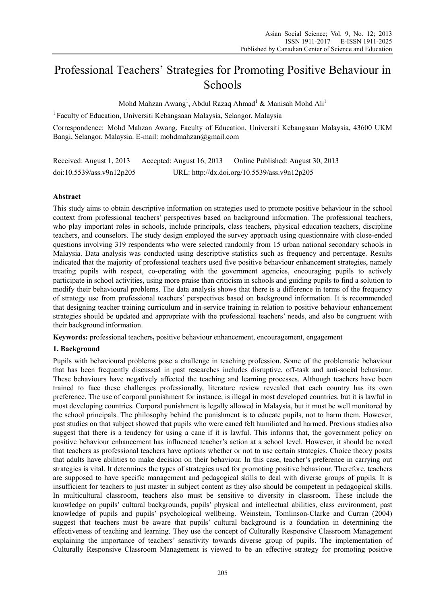# Professional Teachers' Strategies for Promoting Positive Behaviour in Schools

Mohd Mahzan Awang<sup>1</sup>, Abdul Razaq Ahmad<sup>1</sup> & Manisah Mohd Ali<sup>1</sup>

1 Faculty of Education, Universiti Kebangsaan Malaysia, Selangor, Malaysia

Correspondence: Mohd Mahzan Awang, Faculty of Education, Universiti Kebangsaan Malaysia, 43600 UKM Bangi, Selangor, Malaysia. E-mail: mohdmahzan@gmail.com

Received: August 1, 2013 Accepted: August 16, 2013 Online Published: August 30, 2013 doi:10.5539/ass.v9n12p205 URL: http://dx.doi.org/10.5539/ass.v9n12p205

# **Abstract**

This study aims to obtain descriptive information on strategies used to promote positive behaviour in the school context from professional teachers' perspectives based on background information. The professional teachers, who play important roles in schools, include principals, class teachers, physical education teachers, discipline teachers, and counselors. The study design employed the survey approach using questionnaire with close-ended questions involving 319 respondents who were selected randomly from 15 urban national secondary schools in Malaysia. Data analysis was conducted using descriptive statistics such as frequency and percentage. Results indicated that the majority of professional teachers used five positive behaviour enhancement strategies, namely treating pupils with respect, co-operating with the government agencies, encouraging pupils to actively participate in school activities, using more praise than criticism in schools and guiding pupils to find a solution to modify their behavioural problems. The data analysis shows that there is a difference in terms of the frequency of strategy use from professional teachers' perspectives based on background information. It is recommended that designing teacher training curriculum and in-service training in relation to positive behaviour enhancement strategies should be updated and appropriate with the professional teachers' needs, and also be congruent with their background information.

**Keywords:** professional teachers**,** positive behaviour enhancement, encouragement, engagement

#### **1. Background**

Pupils with behavioural problems pose a challenge in teaching profession. Some of the problematic behaviour that has been frequently discussed in past researches includes disruptive, off-task and anti-social behaviour. These behaviours have negatively affected the teaching and learning processes. Although teachers have been trained to face these challenges professionally, literature review revealed that each country has its own preference. The use of corporal punishment for instance, is illegal in most developed countries, but it is lawful in most developing countries. Corporal punishment is legally allowed in Malaysia, but it must be well monitored by the school principals. The philosophy behind the punishment is to educate pupils, not to harm them. However, past studies on that subject showed that pupils who were caned felt humiliated and harmed. Previous studies also suggest that there is a tendency for using a cane if it is lawful. This informs that, the government policy on positive behaviour enhancement has influenced teacher's action at a school level. However, it should be noted that teachers as professional teachers have options whether or not to use certain strategies. Choice theory posits that adults have abilities to make decision on their behaviour. In this case, teacher's preference in carrying out strategies is vital. It determines the types of strategies used for promoting positive behaviour. Therefore, teachers are supposed to have specific management and pedagogical skills to deal with diverse groups of pupils. It is insufficient for teachers to just master in subject content as they also should be competent in pedagogical skills. In multicultural classroom, teachers also must be sensitive to diversity in classroom. These include the knowledge on pupils' cultural backgrounds, pupils' physical and intellectual abilities, class environment, past knowledge of pupils and pupils' psychological wellbeing. Weinstein, Tomlinson-Clarke and Curran (2004) suggest that teachers must be aware that pupils' cultural background is a foundation in determining the effectiveness of teaching and learning. They use the concept of Culturally Responsive Classroom Management explaining the importance of teachers' sensitivity towards diverse group of pupils. The implementation of Culturally Responsive Classroom Management is viewed to be an effective strategy for promoting positive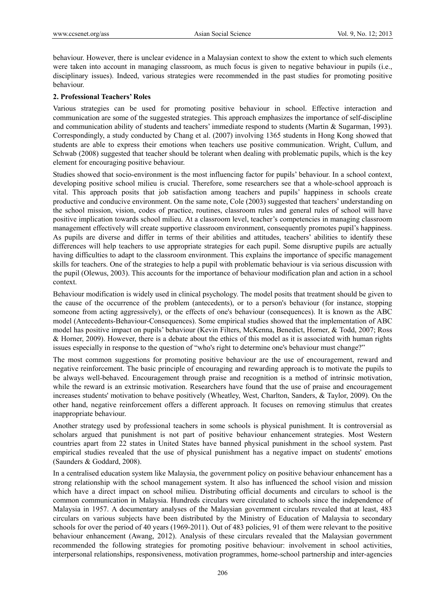behaviour. However, there is unclear evidence in a Malaysian context to show the extent to which such elements were taken into account in managing classroom, as much focus is given to negative behaviour in pupils (i.e., disciplinary issues). Indeed, various strategies were recommended in the past studies for promoting positive behaviour.

#### **2. Professional Teachers' Roles**

Various strategies can be used for promoting positive behaviour in school. Effective interaction and communication are some of the suggested strategies. This approach emphasizes the importance of self-discipline and communication ability of students and teachers' immediate respond to students (Martin & Sugarman, 1993). Correspondingly, a study conducted by Chang et al. (2007) involving 1365 students in Hong Kong showed that students are able to express their emotions when teachers use positive communication. Wright, Cullum, and Schwab (2008) suggested that teacher should be tolerant when dealing with problematic pupils, which is the key element for encouraging positive behaviour.

Studies showed that socio-environment is the most influencing factor for pupils' behaviour. In a school context, developing positive school milieu is crucial. Therefore, some researchers see that a whole-school approach is vital. This approach posits that job satisfaction among teachers and pupils' happiness in schools create productive and conducive environment. On the same note, Cole (2003) suggested that teachers' understanding on the school mission, vision, codes of practice, routines, classroom rules and general rules of school will have positive implication towards school milieu. At a classroom level, teacher's competencies in managing classroom management effectively will create supportive classroom environment, consequently promotes pupil's happiness. As pupils are diverse and differ in terms of their abilities and attitudes, teachers' abilities to identify these differences will help teachers to use appropriate strategies for each pupil. Some disruptive pupils are actually having difficulties to adapt to the classroom environment. This explains the importance of specific management skills for teachers. One of the strategies to help a pupil with problematic behaviour is via serious discussion with the pupil (Olewus, 2003). This accounts for the importance of behaviour modification plan and action in a school context.

Behaviour modification is widely used in clinical psychology. The model posits that treatment should be given to the cause of the occurrence of the problem (antecedents), or to a person's behaviour (for instance, stopping someone from acting aggressively), or the effects of one's behaviour (consequences). It is known as the ABC model (Antecedents-Behaviour-Consequences). Some empirical studies showed that the implementation of ABC model has positive impact on pupils' behaviour (Kevin Filters, McKenna, Benedict, Horner, & Todd, 2007; Ross & Horner, 2009). However, there is a debate about the ethics of this model as it is associated with human rights issues especially in response to the question of "who's right to determine one's behaviour must change?"

The most common suggestions for promoting positive behaviour are the use of encouragement, reward and negative reinforcement. The basic principle of encouraging and rewarding approach is to motivate the pupils to be always well-behaved. Encouragement through praise and recognition is a method of intrinsic motivation, while the reward is an extrinsic motivation. Researchers have found that the use of praise and encouragement increases students' motivation to behave positively (Wheatley, West, Charlton, Sanders, & Taylor, 2009). On the other hand, negative reinforcement offers a different approach. It focuses on removing stimulus that creates inappropriate behaviour.

Another strategy used by professional teachers in some schools is physical punishment. It is controversial as scholars argued that punishment is not part of positive behaviour enhancement strategies. Most Western countries apart from 22 states in United States have banned physical punishment in the school system. Past empirical studies revealed that the use of physical punishment has a negative impact on students' emotions (Saunders & Goddard, 2008).

In a centralised education system like Malaysia, the government policy on positive behaviour enhancement has a strong relationship with the school management system. It also has influenced the school vision and mission which have a direct impact on school milieu. Distributing official documents and circulars to school is the common communication in Malaysia. Hundreds circulars were circulated to schools since the independence of Malaysia in 1957. A documentary analyses of the Malaysian government circulars revealed that at least, 483 circulars on various subjects have been distributed by the Ministry of Education of Malaysia to secondary schools for over the period of 40 years (1969-2011). Out of 483 policies, 91 of them were relevant to the positive behaviour enhancement (Awang, 2012). Analysis of these circulars revealed that the Malaysian government recommended the following strategies for promoting positive behaviour: involvement in school activities, interpersonal relationships, responsiveness, motivation programmes, home-school partnership and inter-agencies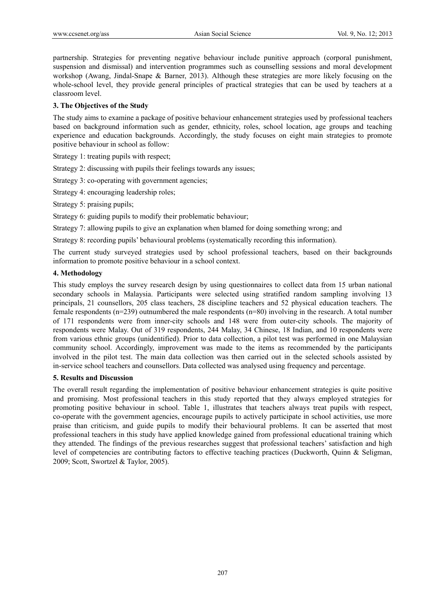partnership. Strategies for preventing negative behaviour include punitive approach (corporal punishment, suspension and dismissal) and intervention programmes such as counselling sessions and moral development workshop (Awang, Jindal-Snape & Barner, 2013). Although these strategies are more likely focusing on the whole-school level, they provide general principles of practical strategies that can be used by teachers at a classroom level.

## **3. The Objectives of the Study**

The study aims to examine a package of positive behaviour enhancement strategies used by professional teachers based on background information such as gender, ethnicity, roles, school location, age groups and teaching experience and education backgrounds. Accordingly, the study focuses on eight main strategies to promote positive behaviour in school as follow:

Strategy 1: treating pupils with respect;

Strategy 2: discussing with pupils their feelings towards any issues;

Strategy 3: co-operating with government agencies;

Strategy 4: encouraging leadership roles;

Strategy 5: praising pupils;

Strategy 6: guiding pupils to modify their problematic behaviour;

Strategy 7: allowing pupils to give an explanation when blamed for doing something wrong; and

Strategy 8: recording pupils' behavioural problems (systematically recording this information).

The current study surveyed strategies used by school professional teachers, based on their backgrounds information to promote positive behaviour in a school context.

#### **4. Methodology**

This study employs the survey research design by using questionnaires to collect data from 15 urban national secondary schools in Malaysia. Participants were selected using stratified random sampling involving 13 principals, 21 counsellors, 205 class teachers, 28 discipline teachers and 52 physical education teachers. The female respondents ( $n=239$ ) outnumbered the male respondents ( $n=80$ ) involving in the research. A total number of 171 respondents were from inner-city schools and 148 were from outer-city schools. The majority of respondents were Malay. Out of 319 respondents, 244 Malay, 34 Chinese, 18 Indian, and 10 respondents were from various ethnic groups (unidentified). Prior to data collection, a pilot test was performed in one Malaysian community school. Accordingly, improvement was made to the items as recommended by the participants involved in the pilot test. The main data collection was then carried out in the selected schools assisted by in-service school teachers and counsellors. Data collected was analysed using frequency and percentage.

#### **5. Results and Discussion**

The overall result regarding the implementation of positive behaviour enhancement strategies is quite positive and promising. Most professional teachers in this study reported that they always employed strategies for promoting positive behaviour in school. Table 1, illustrates that teachers always treat pupils with respect, co-operate with the government agencies, encourage pupils to actively participate in school activities, use more praise than criticism, and guide pupils to modify their behavioural problems. It can be asserted that most professional teachers in this study have applied knowledge gained from professional educational training which they attended. The findings of the previous researches suggest that professional teachers' satisfaction and high level of competencies are contributing factors to effective teaching practices (Duckworth, Quinn & Seligman, 2009; Scott, Swortzel & Taylor, 2005).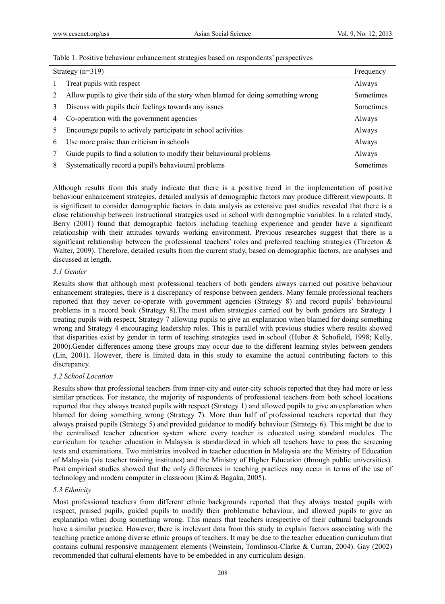## Table 1. Positive behaviour enhancement strategies based on respondents' perspectives

| Strategy $(n=319)$ |                                                                                    | Frequency        |
|--------------------|------------------------------------------------------------------------------------|------------------|
|                    | Treat pupils with respect                                                          | Always           |
|                    | Allow pupils to give their side of the story when blamed for doing something wrong | <b>Sometimes</b> |
|                    | Discuss with pupils their feelings towards any issues                              | Sometimes        |
| 4                  | Co-operation with the government agencies                                          | Always           |
|                    | Encourage pupils to actively participate in school activities                      | Always           |
| 6                  | Use more praise than criticism in schools                                          | Always           |
|                    | Guide pupils to find a solution to modify their behavioural problems               | Always           |
| 8                  | Systematically record a pupil's behavioural problems                               | Sometimes        |

Although results from this study indicate that there is a positive trend in the implementation of positive behaviour enhancement strategies, detailed analysis of demographic factors may produce different viewpoints. It is significant to consider demographic factors in data analysis as extensive past studies revealed that there is a close relationship between instructional strategies used in school with demographic variables. In a related study, Berry (2001) found that demographic factors including teaching experience and gender have a significant relationship with their attitudes towards working environment. Previous researches suggest that there is a significant relationship between the professional teachers' roles and preferred teaching strategies (Threeton & Walter, 2009). Therefore, detailed results from the current study, based on demographic factors, are analyses and discussed at length.

#### *5.1 Gender*

Results show that although most professional teachers of both genders always carried out positive behaviour enhancement strategies, there is a discrepancy of response between genders. Many female professional teachers reported that they never co-operate with government agencies (Strategy 8) and record pupils' behavioural problems in a record book (Strategy 8).The most often strategies carried out by both genders are Strategy 1 treating pupils with respect, Strategy 7 allowing pupils to give an explanation when blamed for doing something wrong and Strategy 4 encouraging leadership roles. This is parallel with previous studies where results showed that disparities exist by gender in term of teaching strategies used in school (Huber & Schofield, 1998; Kelly, 2000).Gender differences among these groups may occur due to the different learning styles between genders (Lin, 2001). However, there is limited data in this study to examine the actual contributing factors to this discrepancy.

#### *5.2 School Location*

Results show that professional teachers from inner-city and outer-city schools reported that they had more or less similar practices. For instance, the majority of respondents of professional teachers from both school locations reported that they always treated pupils with respect (Strategy 1) and allowed pupils to give an explanation when blamed for doing something wrong (Strategy 7). More than half of professional teachers reported that they always praised pupils (Strategy 5) and provided guidance to modify behaviour (Strategy 6). This might be due to the centralised teacher education system where every teacher is educated using standard modules. The curriculum for teacher education in Malaysia is standardized in which all teachers have to pass the screening tests and examinations. Two ministries involved in teacher education in Malaysia are the Ministry of Education of Malaysia (via teacher training institutes) and the Ministry of Higher Education (through public universities). Past empirical studies showed that the only differences in teaching practices may occur in terms of the use of technology and modern computer in classroom (Kim & Bagaka, 2005).

# *5.3 Ethnicity*

Most professional teachers from different ethnic backgrounds reported that they always treated pupils with respect, praised pupils, guided pupils to modify their problematic behaviour, and allowed pupils to give an explanation when doing something wrong. This means that teachers irrespective of their cultural backgrounds have a similar practice. However, there is irrelevant data from this study to explain factors associating with the teaching practice among diverse ethnic groups of teachers. It may be due to the teacher education curriculum that contains cultural responsive management elements (Weinstein, Tomlinson-Clarke & Curran, 2004). Gay (2002) recommended that cultural elements have to be embedded in any curriculum design.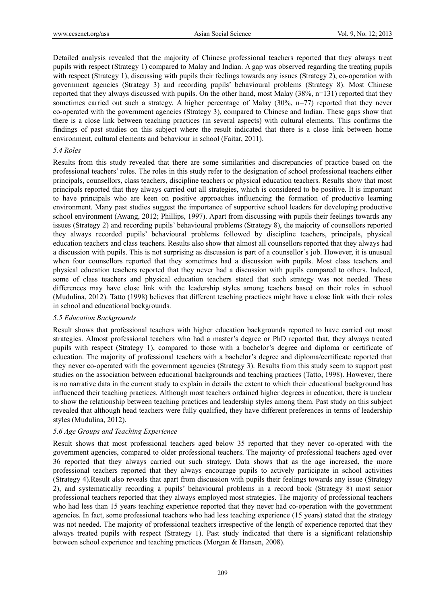Detailed analysis revealed that the majority of Chinese professional teachers reported that they always treat pupils with respect (Strategy 1) compared to Malay and Indian. A gap was observed regarding the treating pupils with respect (Strategy 1), discussing with pupils their feelings towards any issues (Strategy 2), co-operation with government agencies (Strategy 3) and recording pupils' behavioural problems (Strategy 8). Most Chinese reported that they always discussed with pupils. On the other hand, most Malay (38%, n=131) reported that they sometimes carried out such a strategy. A higher percentage of Malay (30%, n=77) reported that they never co-operated with the government agencies (Strategy 3), compared to Chinese and Indian. These gaps show that there is a close link between teaching practices (in several aspects) with cultural elements. This confirms the findings of past studies on this subject where the result indicated that there is a close link between home environment, cultural elements and behaviour in school (Faitar, 2011).

## *5.4 Roles*

Results from this study revealed that there are some similarities and discrepancies of practice based on the professional teachers' roles. The roles in this study refer to the designation of school professional teachers either principals, counsellors, class teachers, discipline teachers or physical education teachers. Results show that most principals reported that they always carried out all strategies, which is considered to be positive. It is important to have principals who are keen on positive approaches influencing the formation of productive learning environment. Many past studies suggest the importance of supportive school leaders for developing productive school environment (Awang, 2012; Phillips, 1997). Apart from discussing with pupils their feelings towards any issues (Strategy 2) and recording pupils' behavioural problems (Strategy 8), the majority of counsellors reported they always recorded pupils' behavioural problems followed by discipline teachers, principals, physical education teachers and class teachers. Results also show that almost all counsellors reported that they always had a discussion with pupils. This is not surprising as discussion is part of a counsellor's job. However, it is unusual when four counsellors reported that they sometimes had a discussion with pupils. Most class teachers and physical education teachers reported that they never had a discussion with pupils compared to others. Indeed, some of class teachers and physical education teachers stated that such strategy was not needed. These differences may have close link with the leadership styles among teachers based on their roles in school (Mudulina, 2012). Tatto (1998) believes that different teaching practices might have a close link with their roles in school and educational backgrounds.

#### *5.5 Education Backgrounds*

Result shows that professional teachers with higher education backgrounds reported to have carried out most strategies. Almost professional teachers who had a master's degree or PhD reported that, they always treated pupils with respect (Strategy 1), compared to those with a bachelor's degree and diploma or certificate of education. The majority of professional teachers with a bachelor's degree and diploma/certificate reported that they never co-operated with the government agencies (Strategy 3). Results from this study seem to support past studies on the association between educational backgrounds and teaching practices (Tatto, 1998). However, there is no narrative data in the current study to explain in details the extent to which their educational background has influenced their teaching practices. Although most teachers ordained higher degrees in education, there is unclear to show the relationship between teaching practices and leadership styles among them. Past study on this subject revealed that although head teachers were fully qualified, they have different preferences in terms of leadership styles (Mudulina, 2012).

#### *5.6 Age Groups and Teaching Experience*

Result shows that most professional teachers aged below 35 reported that they never co-operated with the government agencies, compared to older professional teachers. The majority of professional teachers aged over 36 reported that they always carried out such strategy. Data shows that as the age increased, the more professional teachers reported that they always encourage pupils to actively participate in school activities (Strategy 4).Result also reveals that apart from discussion with pupils their feelings towards any issue (Strategy 2), and systematically recording a pupils' behavioural problems in a record book (Strategy 8) most senior professional teachers reported that they always employed most strategies. The majority of professional teachers who had less than 15 years teaching experience reported that they never had co-operation with the government agencies. In fact, some professional teachers who had less teaching experience (15 years) stated that the strategy was not needed. The majority of professional teachers irrespective of the length of experience reported that they always treated pupils with respect (Strategy 1). Past study indicated that there is a significant relationship between school experience and teaching practices (Morgan & Hansen, 2008).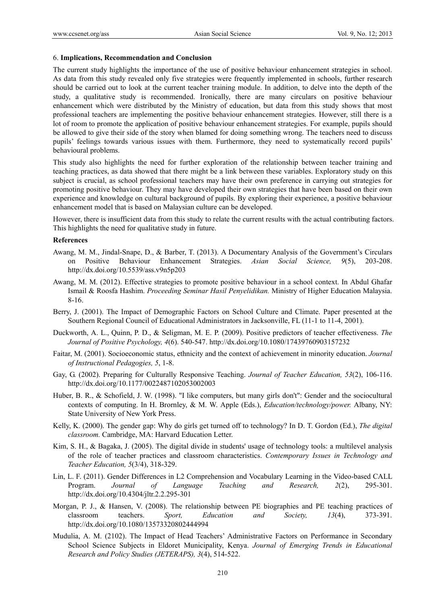#### 6. **Implications, Recommendation and Conclusion**

The current study highlights the importance of the use of positive behaviour enhancement strategies in school. As data from this study revealed only five strategies were frequently implemented in schools, further research should be carried out to look at the current teacher training module. In addition, to delve into the depth of the study, a qualitative study is recommended. Ironically, there are many circulars on positive behaviour enhancement which were distributed by the Ministry of education, but data from this study shows that most professional teachers are implementing the positive behaviour enhancement strategies. However, still there is a lot of room to promote the application of positive behaviour enhancement strategies. For example, pupils should be allowed to give their side of the story when blamed for doing something wrong. The teachers need to discuss pupils' feelings towards various issues with them. Furthermore, they need to systematically record pupils' behavioural problems.

This study also highlights the need for further exploration of the relationship between teacher training and teaching practices, as data showed that there might be a link between these variables. Exploratory study on this subject is crucial, as school professional teachers may have their own preference in carrying out strategies for promoting positive behaviour. They may have developed their own strategies that have been based on their own experience and knowledge on cultural background of pupils. By exploring their experience, a positive behaviour enhancement model that is based on Malaysian culture can be developed.

However, there is insufficient data from this study to relate the current results with the actual contributing factors. This highlights the need for qualitative study in future.

#### **References**

- Awang, M. M., Jindal-Snape, D., & Barber, T. (2013). A Documentary Analysis of the Government's Circulars on Positive Behaviour Enhancement Strategies. *Asian Social Science, 9*(5), 203-208. http://dx.doi.org/10.5539/ass.v9n5p203
- Awang, M. M. (2012). Effective strategies to promote positive behaviour in a school context. In Abdul Ghafar Ismail & Roosfa Hashim. *Proceeding Seminar Hasil Penyelidikan.* Ministry of Higher Education Malaysia. 8-16.
- Berry, J. (2001). The Impact of Demographic Factors on School Culture and Climate. Paper presented at the Southern Regional Council of Educational Administrators in Jacksonville, FL (11-1 to 11-4, 2001).
- Duckworth, A. L., Quinn, P. D., & Seligman, M. E. P. (2009). Positive predictors of teacher effectiveness. *The Journal of Positive Psychology, 4*(6). 540-547. http://dx.doi.org/10.1080/17439760903157232
- Faitar, M. (2001). Socioeconomic status, ethnicity and the context of achievement in minority education. *Journal of Instructional Pedagogies, 5*, 1-8.
- Gay, G. (2002). Preparing for Culturally Responsive Teaching. *Journal of Teacher Education, 53*(2), 106-116. http://dx.doi.org/10.1177/0022487102053002003
- Huber, B. R., & Schofield, J. W. (1998). "I like computers, but many girls don't": Gender and the sociocultural contexts of computing. In H. Brornley, & M. W. Apple (Eds.), *Education/technology/power.* Albany, NY: State University of New York Press.
- Kelly, K. (2000). The gender gap: Why do girls get turned off to technology? In D. T. Gordon (Ed.), *The digital classroom.* Cambridge, MA: Harvard Education Letter.
- Kim, S. H., & Bagaka, J. (2005). The digital divide in students' usage of technology tools: a multilevel analysis of the role of teacher practices and classroom characteristics. *Contemporary Issues in Technology and Teacher Education, 5*(3/4), 318-329.
- Lin, L. F. (2011). Gender Differences in L2 Comprehension and Vocabulary Learning in the Video-based CALL Program. *Journal of Language Teaching and Research, 2*(2), 295-301. http://dx.doi.org/10.4304/jltr.2.2.295-301
- Morgan, P. J., & Hansen, V. (2008). The relationship between PE biographies and PE teaching practices of classroom teachers. *Sport, Education and Society, 13*(4), 373-391. http://dx.doi.org/10.1080/13573320802444994
- Mudulia, A. M. (2102). The Impact of Head Teachers' Administrative Factors on Performance in Secondary School Science Subjects in Eldoret Municipality, Kenya. *Journal of Emerging Trends in Educational Research and Policy Studies (JETERAPS), 3*(4), 514-522.